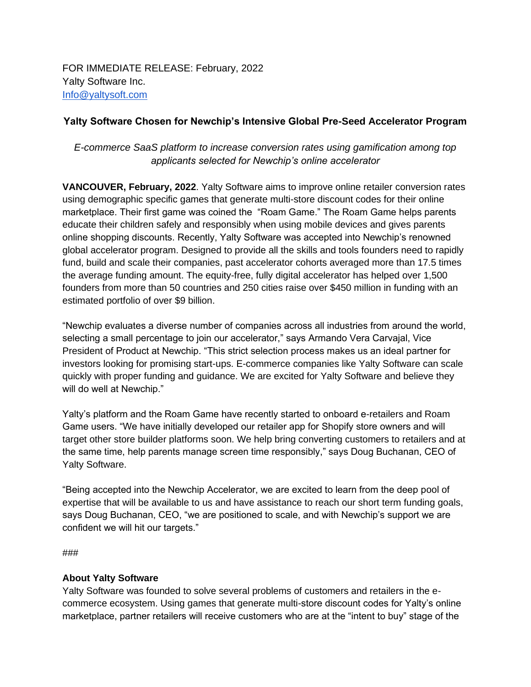## **Yalty Software Chosen for Newchip's Intensive Global Pre-Seed Accelerator Program**

## *E-commerce SaaS platform to increase conversion rates using gamification among top applicants selected for Newchip's online accelerator*

**VANCOUVER, February, 2022**. Yalty Software aims to improve online retailer conversion rates using demographic specific games that generate multi-store discount codes for their online marketplace. Their first game was coined the "Roam Game." The Roam Game helps parents educate their children safely and responsibly when using mobile devices and gives parents online shopping discounts. Recently, Yalty Software was accepted into Newchip's renowned global accelerator program. Designed to provide all the skills and tools founders need to rapidly fund, build and scale their companies, past accelerator cohorts averaged more than 17.5 times the average funding amount. The equity-free, fully digital accelerator has helped over 1,500 founders from more than 50 countries and 250 cities raise over \$450 million in funding with an estimated portfolio of over \$9 billion.

"Newchip evaluates a diverse number of companies across all industries from around the world, selecting a small percentage to join our accelerator," says Armando Vera Carvajal, Vice President of Product at Newchip. "This strict selection process makes us an ideal partner for investors looking for promising start-ups. E-commerce companies like Yalty Software can scale quickly with proper funding and guidance. We are excited for Yalty Software and believe they will do well at Newchip."

Yalty's platform and the Roam Game have recently started to onboard e-retailers and Roam Game users. "We have initially developed our retailer app for Shopify store owners and will target other store builder platforms soon. We help bring converting customers to retailers and at the same time, help parents manage screen time responsibly," says Doug Buchanan, CEO of Yalty Software.

"Being accepted into the Newchip Accelerator, we are excited to learn from the deep pool of expertise that will be available to us and have assistance to reach our short term funding goals, says Doug Buchanan, CEO, "we are positioned to scale, and with Newchip's support we are confident we will hit our targets."

###

## **About Yalty Software**

Yalty Software was founded to solve several problems of customers and retailers in the ecommerce ecosystem. Using games that generate multi-store discount codes for Yalty's online marketplace, partner retailers will receive customers who are at the "intent to buy" stage of the